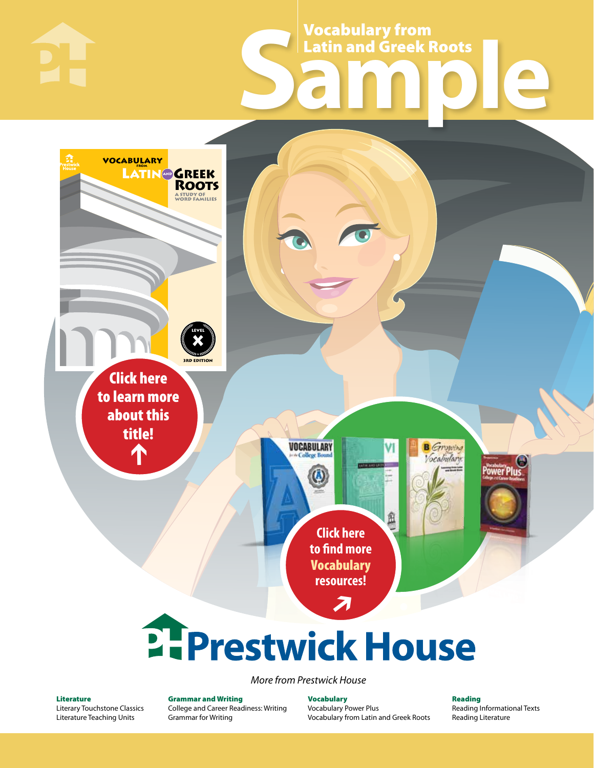Latin and Greek Roots

**Sample Schools** 



*More from Prestwick House*

#### Literature

[Literary Touchstone Classics](https://www.prestwickhouse.com/literary-touchstone-classics) [Literature Teaching Units](https://www.prestwickhouse.com/teaching-units)

Grammar and Writing [College and Career Readiness: Writing](https://www.prestwickhouse.com/college-and-career-readiness-writing) [Grammar for Writing](https://www.prestwickhouse.com/book/id-302639/Grammar_for_Writing_-_30_Books_and_Teachers_Edition)

Vocabulary [Vocabulary Power Plus](https://www.prestwickhouse.com/vocabulary-power-plus-for-college-and-career-readiness) [Vocabulary from Latin and Greek Roots](https://www.prestwickhouse.com/vocabulary-from-latin-and-greek-roots) Reading [Reading Informational Texts](https://www.prestwickhouse.com/reading-informational-texts) [Reading Literature](https://www.prestwickhouse.com/reading-literature)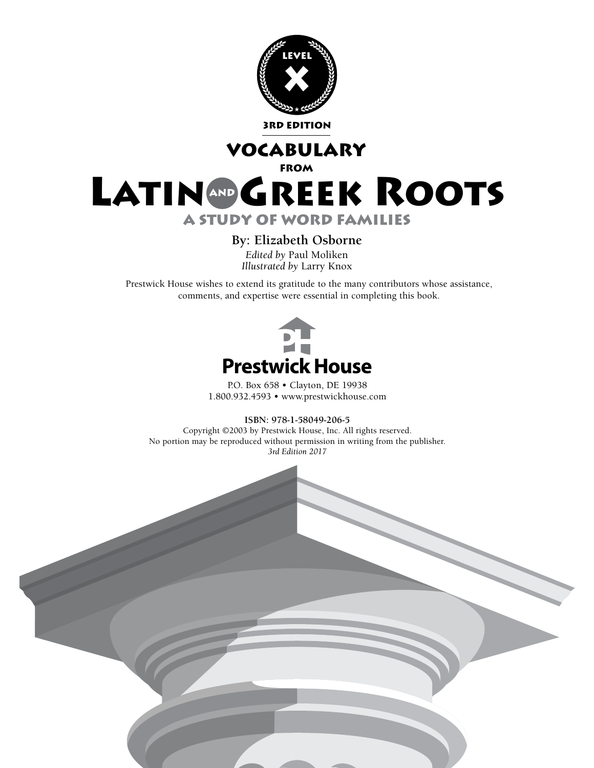

Vocabulary

from



## **By: Elizabeth Osborne**

*Edited by* Paul Moliken *Illustrated by* Larry Knox

Prestwick House wishes to extend its gratitude to the many contributors whose assistance, comments, and expertise were essential in completing this book.



P.O. Box 658 • Clayton, DE 19938 1.800.932.4593 • www.prestwickhouse.com

**ISBN: 978-1-58049-206-5** Copyright ©2003 by Prestwick House, Inc. All rights reserved. No portion may be reproduced without permission in writing from the publisher. *3rd Edition 2017*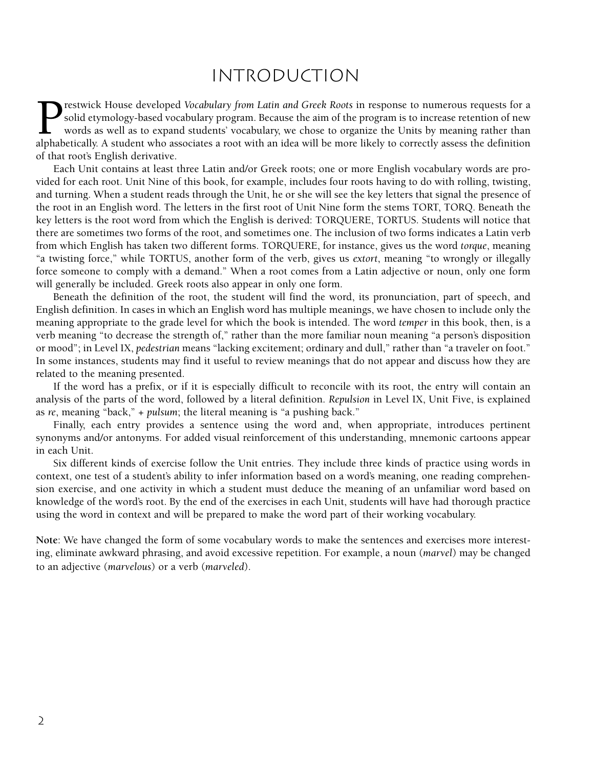# Introduction

restwick House developed *Vocabulary from Latin and Greek Roots* in response to numerous requests for a solid etymology-based vocabulary program. Because the aim of the program is to increase retention of new words as well as to expand students' vocabulary, we chose to organize the Units by meaning rather than alphabetically. A student who associates a root with an idea will be more likely to correctly assess the definition of that root's English derivative.

Each Unit contains at least three Latin and/or Greek roots; one or more English vocabulary words are provided for each root. Unit Nine of this book, for example, includes four roots having to do with rolling, twisting, and turning. When a student reads through the Unit, he or she will see the key letters that signal the presence of the root in an English word. The letters in the first root of Unit Nine form the stems TORT, TORQ. Beneath the key letters is the root word from which the English is derived: TORQUERE, TORTUS. Students will notice that there are sometimes two forms of the root, and sometimes one. The inclusion of two forms indicates a Latin verb from which English has taken two different forms. TORQUERE, for instance, gives us the word *torque*, meaning "a twisting force," while TORTUS, another form of the verb, gives us *extort*, meaning "to wrongly or illegally force someone to comply with a demand." When a root comes from a Latin adjective or noun, only one form will generally be included. Greek roots also appear in only one form.

Beneath the definition of the root, the student will find the word, its pronunciation, part of speech, and English definition. In cases in which an English word has multiple meanings, we have chosen to include only the meaning appropriate to the grade level for which the book is intended. The word *temper* in this book, then, is a verb meaning "to decrease the strength of," rather than the more familiar noun meaning "a person's disposition or mood"; in Level IX, *pedestrian* means "lacking excitement; ordinary and dull," rather than "a traveler on foot." In some instances, students may find it useful to review meanings that do not appear and discuss how they are related to the meaning presented.

If the word has a prefix, or if it is especially difficult to reconcile with its root, the entry will contain an analysis of the parts of the word, followed by a literal definition. *Repulsion* in Level IX, Unit Five, is explained as *re*, meaning "back," + *pulsum*; the literal meaning is "a pushing back."

Finally, each entry provides a sentence using the word and, when appropriate, introduces pertinent synonyms and/or antonyms. For added visual reinforcement of this understanding, mnemonic cartoons appear in each Unit.

Six different kinds of exercise follow the Unit entries. They include three kinds of practice using words in context, one test of a student's ability to infer information based on a word's meaning, one reading comprehension exercise, and one activity in which a student must deduce the meaning of an unfamiliar word based on knowledge of the word's root. By the end of the exercises in each Unit, students will have had thorough practice using the word in context and will be prepared to make the word part of their working vocabulary.

**Note**: We have changed the form of some vocabulary words to make the sentences and exercises more interesting, eliminate awkward phrasing, and avoid excessive repetition. For example, a noun (*marvel*) may be changed to an adjective (*marvelous*) or a verb (*marveled*).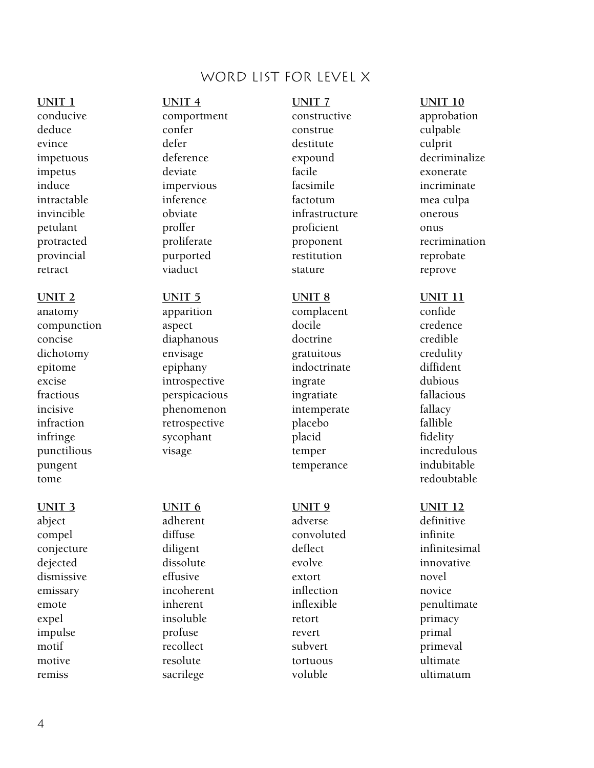## word list for Level x

#### **UNIT 1**

conducive deduce evince impetuous impetus induce intractable invincible petulant protracted provincial retract

#### **UNIT 2**

anatomy compunction concise dichotomy epitome excise fractious incisive infraction infringe punctilious pungent tome

## **UNIT 3**

abject compel conjecture dejected dismissive emissary emote expel impulse motif motive remiss

#### **UNIT 4**

comportment confer defer deference deviate impervious inference obviate proffer proliferate purported viaduct

**UNIT 5** apparition aspect diaphanous envisage epiphany introspective perspicacious phenomenon retrospective sycophant visage

## **UNIT 6**

adherent diffuse diligent dissolute effusive incoherent inherent insoluble profuse recollect resolute sacrilege

## **UNIT 7**

constructive construe destitute expound facile facsimile factotum infrastructure proficient proponent restitution stature

## **UNIT 8**

complacent docile doctrine gratuitous indoctrinate ingrate ingratiate intemperate placebo placid temper temperance

## **UNIT 9**

adverse convoluted deflect evolve extort inflection inflexible retort revert subvert tortuous voluble

#### **UNIT 10**

approbation culpable culprit decriminalize exonerate incriminate mea culpa onerous onus recrimination reprobate reprove

#### **UNIT 11**

confide credence credible credulity diffident dubious fallacious fallacy fallible fidelity incredulous indubitable redoubtable

#### **UNIT 12**

definitive infinite infinitesimal innovative novel novice penultimate primacy primal primeval ultimate ultimatum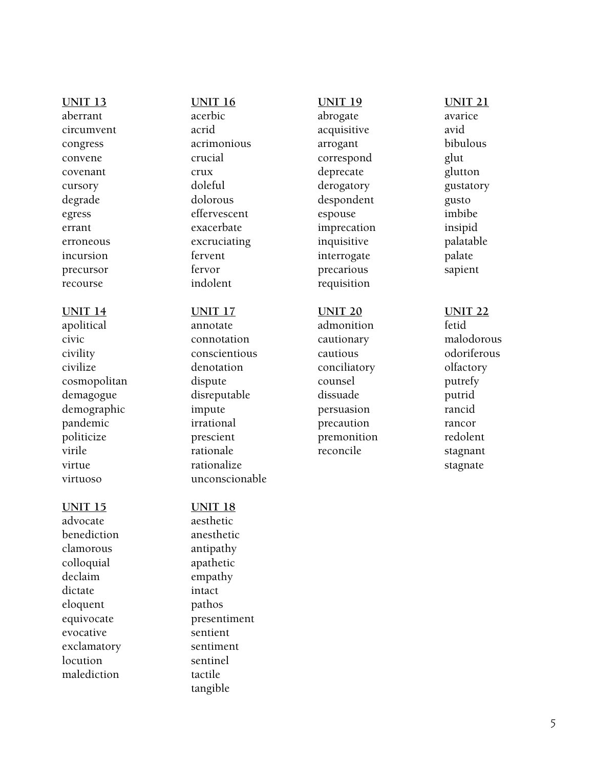#### **UNIT 13**

aberrant circumvent congress convene covenant cursory degrade egress errant erroneous incursion precursor recourse

#### **UNIT 14**

apolitical civic civility civilize cosmopolitan demagogue demographic pandemic politicize virile virtue virtuoso

#### **UNIT 15**

advocate benediction clamorous colloquial declaim dictate eloquent equivocate evocative exclamatory locution malediction

#### **UNIT 16**

acerbic acrid acrimonious crucial crux doleful dolorous effervescent exacerbate excruciating fervent fervor indolent

## **UNIT 17**

annotate connotation conscientious denotation dispute disreputable impute irrational prescient rationale rationalize unconscionable

## **UNIT 18**

aesthetic anesthetic antipathy apathetic empathy intact pathos presentiment sentient sentiment sentinel tactile tangible

### **UNIT 19**

abrogate acquisitive arrogant correspond deprecate derogatory despondent espouse imprecation inquisitive interrogate precarious requisition

## **UNIT 20**

admonition cautionary cautious conciliatory counsel dissuade persuasion precaution premonition reconcile

## **UNIT 21** avarice avid bibulous glut glutton gustatory gusto imbibe insipid palatable palate sapient

## **UNIT 22**

fetid malodorous odoriferous olfactory putrefy putrid rancid rancor redolent stagnant stagnate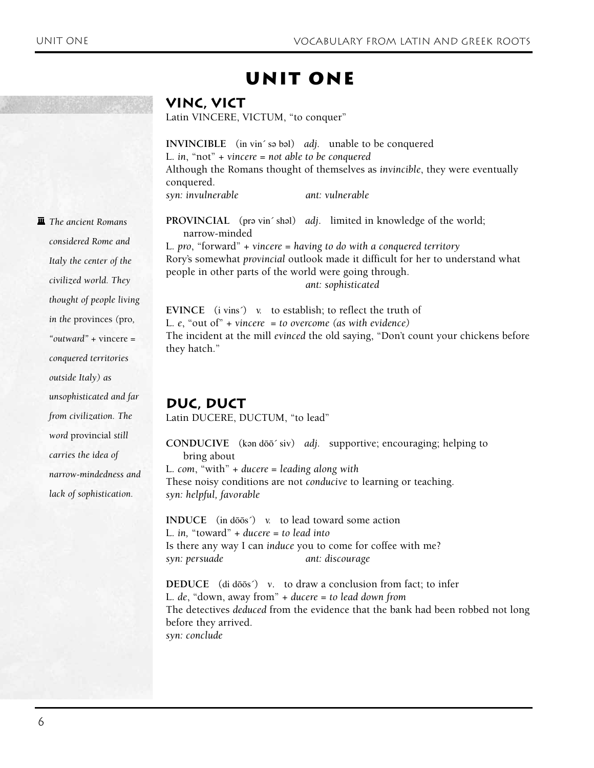# Unit One

## **VINC, VICT**

Latin VINCERE, VICTUM, "to conquer"

**INVINCIBLE** (in vin' so bol) *adj*. unable to be conquered L. *in*, "not" + *vincere* = *not able to be conquered* Although the Romans thought of themselves as *invincible*, they were eventually conquered. *syn: invulnerable ant: vulnerable*

**PROVINCIAL** (pro vin' shol) *adj*. limited in knowledge of the world; narrow-minded L. *pro*, "forward" + *vincere* = *having to do with a conquered territory*

Rory's somewhat *provincial* outlook made it difficult for her to understand what people in other parts of the world were going through.

*ant: sophisticated*

**EVINCE** (i vins´) *v.* to establish; to reflect the truth of L. *e*, "out of" + *vincere* = *to overcome (as with evidence)* The incident at the mill *evinced* the old saying, "Don't count your chickens before they hatch."

## **DUC, DUCT**

Latin DUCERE, DUCTUM, "to lead"

**CONDUCIVE** (kan dōō´ siv) *adj.* supportive; encouraging; helping to bring about L. *com*, "with" + *ducere* = *leading along with* These noisy conditions are not *conducive* to learning or teaching. *syn: helpful, favorable*

**INDUCE** (in  $d\bar{o}s'$ ) *v.* to lead toward some action L. *in,* "toward" + *ducere* = *to lead into* Is there any way I can *induce* you to come for coffee with me? *syn: persuade ant: discourage*

**DEDUCE** (di  $d\bar{o}s'$ ) *v*. to draw a conclusion from fact; to infer L. *de*, "down, away from" + *ducere* = *to lead down from* The detectives *deduced* from the evidence that the bank had been robbed not long before they arrived. *syn: conclude*

*The ancient Romans considered Rome and Italy the center of the civilized world. They thought of people living in the* provinces *(*pro*, "outward" +* vincere *= conquered territories outside Italy) as unsophisticated and far from civilization. The word* provincial *still carries the idea of narrow-mindedness and lack of sophistication.*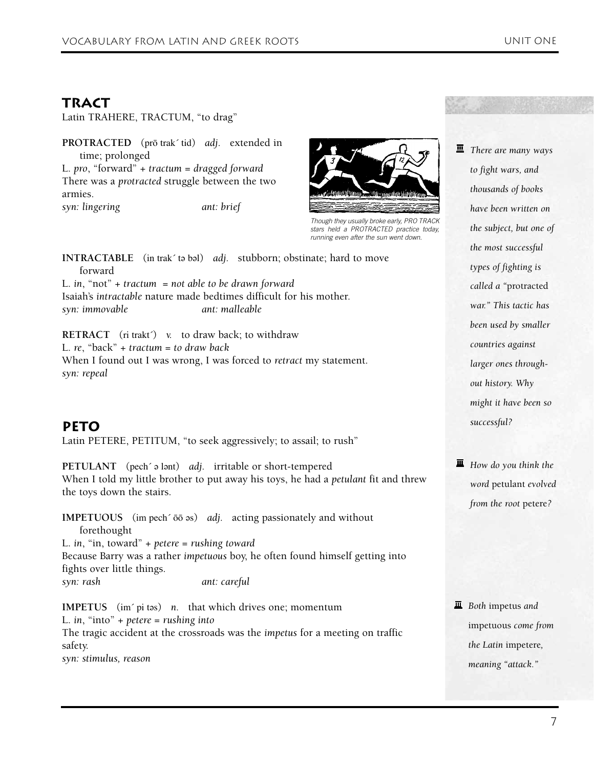# **TRACT**

Latin TRAHERE, TRACTUM, "to drag"

**PROTRACTED** (prō trak´ tid) *adj.* extended in time; prolonged

L. *pro*, "forward" + *tractum* = *dragged forward* There was a *protracted* struggle between the two armies.

*syn: lingering ant: brief*



*Though they usually broke early, PRO TRACK stars held a PROTRACTED practice today, running even after the sun went down.*

**INTRACTABLE** (in trak´ tə bəl) *adj.* stubborn; obstinate; hard to move forward L. *in*, "not" + *tractum* = *not able to be drawn forward* Isaiah's *intractable* nature made bedtimes difficult for his mother.

*syn: immovable ant: malleable*

**RETRACT** (ri trakt´) *v.* to draw back; to withdraw L. *re*, "back" + *tractum* = *to draw back* When I found out I was wrong, I was forced to *retract* my statement. *syn: repeal*

# **PETO**

Latin PETERE, PETITUM, "to seek aggressively; to assail; to rush"

**PETULANT** (pech´ a lant) *adj*. irritable or short-tempered When I told my little brother to put away his toys, he had a *petulant* fit and threw the toys down the stairs.

**IMPETUOUS** (im pech<sup> $\bar{ }$ </sup>  $\bar{ }$   $\bar{ }$   $\bar{ }$   $\bar{ }$ ) *adj.* acting passionately and without forethought L. *in*, "in, toward" + *petere* = *rushing toward* Because Barry was a rather *impetuous* boy, he often found himself getting into fights over little things. *syn: rash ant: careful*

**IMPETUS** (im' pi tas) *n*. that which drives one; momentum L. *in*, "into" + *petere* = *rushing into* The tragic accident at the crossroads was the *impetus* for a meeting on traffic safety. *syn: stimulus, reason*

*There are many ways to fight wars, and thousands of books have been written on the subject, but one of the most successful types of fighting is called a "*protracted *war." This tactic has been used by smaller countries against larger ones throughout history. Why might it have been so successful?*

*How do you think the word* petulant *evolved from the root* petere*?*

*Both* impetus *and*  impetuous *come from the Latin* impetere*, meaning "attack."*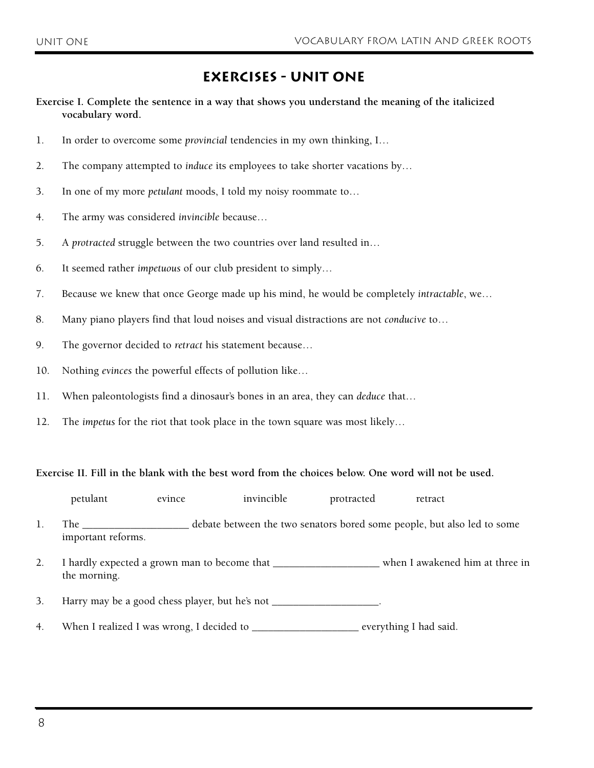# **Exercises - Unit One**

- **Exercise I. Complete the sentence in a way that shows you understand the meaning of the italicized vocabulary word.**
- 1. In order to overcome some *provincial* tendencies in my own thinking, I…
- 2. The company attempted to *induce* its employees to take shorter vacations by…
- 3. In one of my more *petulant* moods, I told my noisy roommate to…
- 4. The army was considered *invincible* because…
- 5. A *protracted* struggle between the two countries over land resulted in…
- 6. It seemed rather *impetuous* of our club president to simply…
- 7. Because we knew that once George made up his mind, he would be completely *intractable*, we…
- 8. Many piano players find that loud noises and visual distractions are not *conducive* to…
- 9. The governor decided to *retract* his statement because…
- 10. Nothing *evinces* the powerful effects of pollution like…
- 11. When paleontologists find a dinosaur's bones in an area, they can *deduce* that…
- 12. The *impetus* for the riot that took place in the town square was most likely…

#### **Exercise II. Fill in the blank with the best word from the choices below. One word will not be used.**

| petulant | evince | invincible | protracted | retract |
|----------|--------|------------|------------|---------|
|----------|--------|------------|------------|---------|

- 1. The two senators bored some people, but also led to some debate between the two senators bored some people, but also led to some important reforms.
- 2. I hardly expected a grown man to become that the same when I awakened him at three in the morning.
- 3. Harry may be a good chess player, but he's not \_\_\_\_\_\_\_\_\_\_\_\_\_\_\_\_\_\_\_\_\_\_\_\_\_\_\_\_\_\_
- 4. When I realized I was wrong, I decided to everything I had said.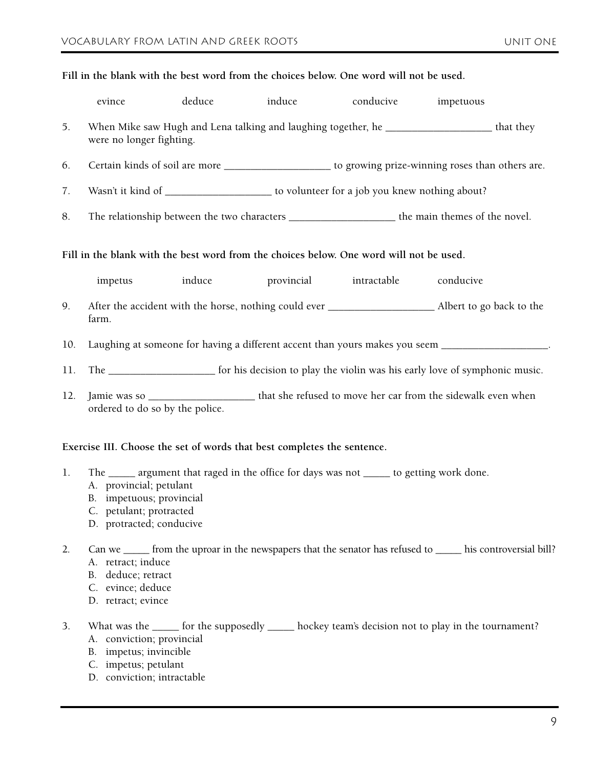#### **Fill in the blank with the best word from the choices below. One word will not be used.**

|                                                                                         | evince                                                                                                                     | deduce | <i>induce</i>                           | conducive impetuous |  |  |  |  |  |
|-----------------------------------------------------------------------------------------|----------------------------------------------------------------------------------------------------------------------------|--------|-----------------------------------------|---------------------|--|--|--|--|--|
| 5.                                                                                      | When Mike saw Hugh and Lena talking and laughing together, he _______________________that they<br>were no longer fighting. |        |                                         |                     |  |  |  |  |  |
| 6.                                                                                      | Certain kinds of soil are more ____________________________ to growing prize-winning roses than others are.                |        |                                         |                     |  |  |  |  |  |
| 7.                                                                                      |                                                                                                                            |        |                                         |                     |  |  |  |  |  |
| 8.                                                                                      | The relationship between the two characters _________________________ the main themes of the novel.                        |        |                                         |                     |  |  |  |  |  |
| Fill in the blank with the best word from the choices below. One word will not be used. |                                                                                                                            |        |                                         |                     |  |  |  |  |  |
|                                                                                         | impetus                                                                                                                    |        | induce provincial intractable conducive |                     |  |  |  |  |  |
| 9.                                                                                      | farm.                                                                                                                      |        |                                         |                     |  |  |  |  |  |
| 10.                                                                                     | Laughing at someone for having a different accent than yours makes you seem ___________________.                           |        |                                         |                     |  |  |  |  |  |
| 11.                                                                                     |                                                                                                                            |        |                                         |                     |  |  |  |  |  |

12. Jamie was so \_\_\_\_\_\_\_\_\_\_\_\_\_\_\_\_\_\_\_\_\_\_\_\_ that she refused to move her car from the sidewalk even when ordered to do so by the police.

#### **Exercise III. Choose the set of words that best completes the sentence.**

- 1. The \_\_\_\_\_ argument that raged in the office for days was not \_\_\_\_\_ to getting work done.
	- A. provincial; petulant
	- B. impetuous; provincial
	- C. petulant; protracted
	- D. protracted; conducive
- 2. Can we \_\_\_\_\_\_ from the uproar in the newspapers that the senator has refused to \_\_\_\_\_\_ his controversial bill? A. retract; induce
	- B. deduce; retract
	- C. evince; deduce
	- D. retract; evince
- 3. What was the <u>supposedly hockey</u> team's decision not to play in the tournament?
	- A. conviction; provincial
	- B. impetus; invincible
	- C. impetus; petulant
	- D. conviction; intractable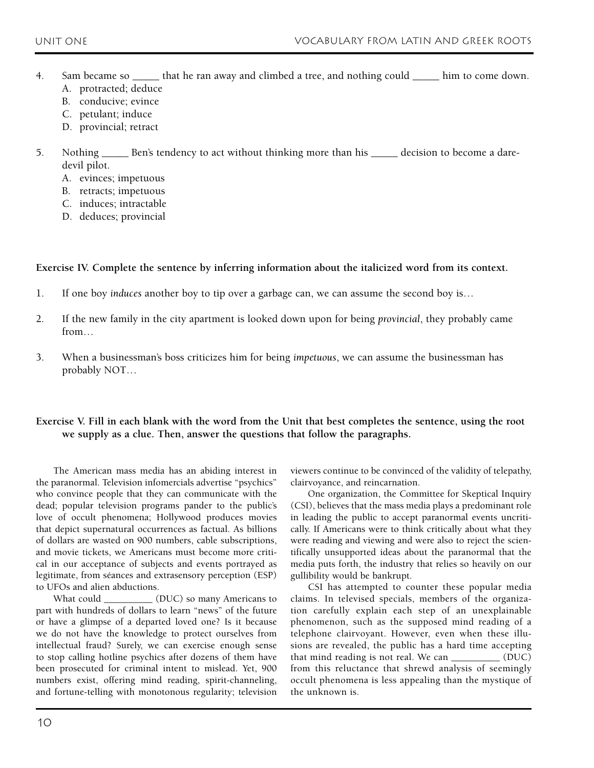- 4. Sam became so \_\_\_\_\_ that he ran away and climbed a tree, and nothing could \_\_\_\_\_ him to come down. A. protracted; deduce
	- B. conducive; evince
	- C. petulant; induce
	- D. provincial; retract
- 5. Nothing \_\_\_\_\_ Ben's tendency to act without thinking more than his \_\_\_\_\_ decision to become a daredevil pilot.
	- A. evinces; impetuous
	- B. retracts; impetuous
	- C. induces; intractable
	- D. deduces; provincial

#### **Exercise IV. Complete the sentence by inferring information about the italicized word from its context.**

- 1. If one boy *induces* another boy to tip over a garbage can, we can assume the second boy is…
- 2. If the new family in the city apartment is looked down upon for being *provincial*, they probably came from…
- 3. When a businessman's boss criticizes him for being *impetuous*, we can assume the businessman has probably NOT…

#### **Exercise V. Fill in each blank with the word from the Unit that best completes the sentence, using the root we supply as a clue. Then, answer the questions that follow the paragraphs.**

The American mass media has an abiding interest in the paranormal. Television infomercials advertise "psychics" who convince people that they can communicate with the dead; popular television programs pander to the public's love of occult phenomena; Hollywood produces movies that depict supernatural occurrences as factual. As billions of dollars are wasted on 900 numbers, cable subscriptions, and movie tickets, we Americans must become more critical in our acceptance of subjects and events portrayed as legitimate, from séances and extrasensory perception (ESP) to UFOs and alien abductions.

What could  $(DUC)$  so many Americans to part with hundreds of dollars to learn "news" of the future or have a glimpse of a departed loved one? Is it because we do not have the knowledge to protect ourselves from intellectual fraud? Surely, we can exercise enough sense to stop calling hotline psychics after dozens of them have been prosecuted for criminal intent to mislead. Yet, 900 numbers exist, offering mind reading, spirit-channeling, and fortune-telling with monotonous regularity; television

viewers continue to be convinced of the validity of telepathy, clairvoyance, and reincarnation.

One organization, the Committee for Skeptical Inquiry (CSI), believes that the mass media plays a predominant role in leading the public to accept paranormal events uncritically. If Americans were to think critically about what they were reading and viewing and were also to reject the scientifically unsupported ideas about the paranormal that the media puts forth, the industry that relies so heavily on our gullibility would be bankrupt.

CSI has attempted to counter these popular media claims. In televised specials, members of the organization carefully explain each step of an unexplainable phenomenon, such as the supposed mind reading of a telephone clairvoyant. However, even when these illusions are revealed, the public has a hard time accepting that mind reading is not real. We can \_\_\_\_\_\_\_\_\_\_ (DUC) from this reluctance that shrewd analysis of seemingly occult phenomena is less appealing than the mystique of the unknown is.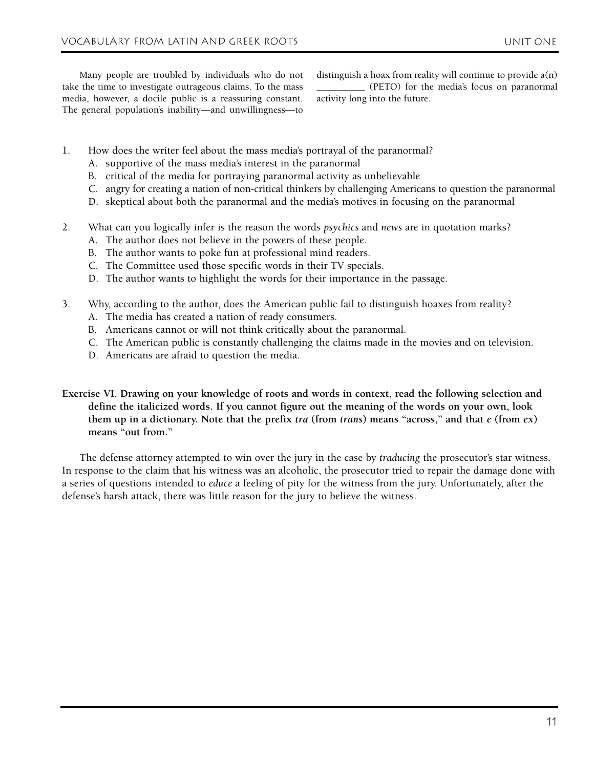Many people are troubled by individuals who do not take the time to investigate outrageous claims. To the mass media, however, a docile public is a reassuring constant. The general population's inability—and unwillingness—to

distinguish a hoax from reality will continue to provide a(n) \_\_\_\_\_\_\_\_\_\_ (PETO) for the media's focus on paranormal activity long into the future.

- 1. How does the writer feel about the mass media's portrayal of the paranormal?
	- A. supportive of the mass media's interest in the paranormal
	- B. critical of the media for portraying paranormal activity as unbelievable
	- C. angry for creating a nation of non-critical thinkers by challenging Americans to question the paranormal
	- D. skeptical about both the paranormal and the media's motives in focusing on the paranormal
- 2. What can you logically infer is the reason the words *psychics* and *news* are in quotation marks?
	- A. The author does not believe in the powers of these people.
	- B. The author wants to poke fun at professional mind readers.
	- C. The Committee used those specific words in their TV specials.
	- D. The author wants to highlight the words for their importance in the passage.
- 3. Why, according to the author, does the American public fail to distinguish hoaxes from reality?
	- A. The media has created a nation of ready consumers.
	- B. Americans cannot or will not think critically about the paranormal.
	- C. The American public is constantly challenging the claims made in the movies and on television.
	- D. Americans are afraid to question the media.
- **Exercise VI. Drawing on your knowledge of roots and words in context, read the following selection and define the italicized words. If you cannot figure out the meaning of the words on your own, look them up in a dictionary. Note that the prefix** *tra* **(from** *trans***) means "across," and that** *e* **(from** *ex***) means "out from."**

The defense attorney attempted to win over the jury in the case by *traducing* the prosecutor's star witness. In response to the claim that his witness was an alcoholic, the prosecutor tried to repair the damage done with a series of questions intended to *educe* a feeling of pity for the witness from the jury. Unfortunately, after the defense's harsh attack, there was little reason for the jury to believe the witness.